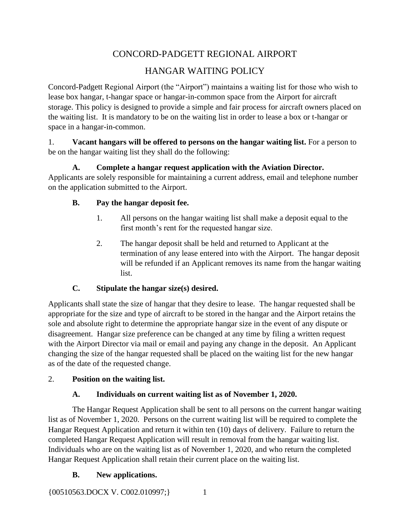# CONCORD-PADGETT REGIONAL AIRPORT

# HANGAR WAITING POLICY

Concord-Padgett Regional Airport (the "Airport") maintains a waiting list for those who wish to lease box hangar, t-hangar space or hangar-in-common space from the Airport for aircraft storage. This policy is designed to provide a simple and fair process for aircraft owners placed on the waiting list. It is mandatory to be on the waiting list in order to lease a box or t-hangar or space in a hangar-in-common.

#### 1. **Vacant hangars will be offered to persons on the hangar waiting list.** For a person to be on the hangar waiting list they shall do the following:

## **A. Complete a hangar request application with the Aviation Director.**

Applicants are solely responsible for maintaining a current address, email and telephone number on the application submitted to the Airport.

#### **B. Pay the hangar deposit fee.**

- 1. All persons on the hangar waiting list shall make a deposit equal to the first month's rent for the requested hangar size.
- 2. The hangar deposit shall be held and returned to Applicant at the termination of any lease entered into with the Airport. The hangar deposit will be refunded if an Applicant removes its name from the hangar waiting list.

## **C. Stipulate the hangar size(s) desired.**

Applicants shall state the size of hangar that they desire to lease. The hangar requested shall be appropriate for the size and type of aircraft to be stored in the hangar and the Airport retains the sole and absolute right to determine the appropriate hangar size in the event of any dispute or disagreement. Hangar size preference can be changed at any time by filing a written request with the Airport Director via mail or email and paying any change in the deposit. An Applicant changing the size of the hangar requested shall be placed on the waiting list for the new hangar as of the date of the requested change.

## 2. **Position on the waiting list.**

## **A. Individuals on current waiting list as of November 1, 2020.**

The Hangar Request Application shall be sent to all persons on the current hangar waiting list as of November 1, 2020. Persons on the current waiting list will be required to complete the Hangar Request Application and return it within ten (10) days of delivery. Failure to return the completed Hangar Request Application will result in removal from the hangar waiting list. Individuals who are on the waiting list as of November 1, 2020, and who return the completed Hangar Request Application shall retain their current place on the waiting list.

## **B. New applications.**

{00510563.DOCX V. C002.010997;} 1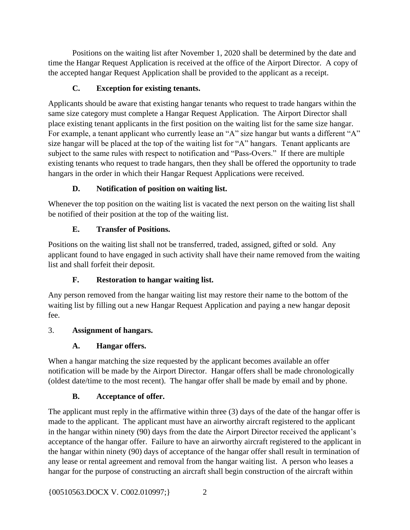Positions on the waiting list after November 1, 2020 shall be determined by the date and time the Hangar Request Application is received at the office of the Airport Director. A copy of the accepted hangar Request Application shall be provided to the applicant as a receipt.

#### **C. Exception for existing tenants.**

Applicants should be aware that existing hangar tenants who request to trade hangars within the same size category must complete a Hangar Request Application. The Airport Director shall place existing tenant applicants in the first position on the waiting list for the same size hangar. For example, a tenant applicant who currently lease an "A" size hangar but wants a different "A" size hangar will be placed at the top of the waiting list for "A" hangars. Tenant applicants are subject to the same rules with respect to notification and "Pass-Overs." If there are multiple existing tenants who request to trade hangars, then they shall be offered the opportunity to trade hangars in the order in which their Hangar Request Applications were received.

#### **D. Notification of position on waiting list.**

Whenever the top position on the waiting list is vacated the next person on the waiting list shall be notified of their position at the top of the waiting list.

#### **E. Transfer of Positions.**

Positions on the waiting list shall not be transferred, traded, assigned, gifted or sold. Any applicant found to have engaged in such activity shall have their name removed from the waiting list and shall forfeit their deposit.

## **F. Restoration to hangar waiting list.**

Any person removed from the hangar waiting list may restore their name to the bottom of the waiting list by filling out a new Hangar Request Application and paying a new hangar deposit fee.

#### 3. **Assignment of hangars.**

## **A. Hangar offers.**

When a hangar matching the size requested by the applicant becomes available an offer notification will be made by the Airport Director. Hangar offers shall be made chronologically (oldest date/time to the most recent). The hangar offer shall be made by email and by phone.

#### **B. Acceptance of offer.**

The applicant must reply in the affirmative within three (3) days of the date of the hangar offer is made to the applicant. The applicant must have an airworthy aircraft registered to the applicant in the hangar within ninety (90) days from the date the Airport Director received the applicant's acceptance of the hangar offer. Failure to have an airworthy aircraft registered to the applicant in the hangar within ninety (90) days of acceptance of the hangar offer shall result in termination of any lease or rental agreement and removal from the hangar waiting list. A person who leases a hangar for the purpose of constructing an aircraft shall begin construction of the aircraft within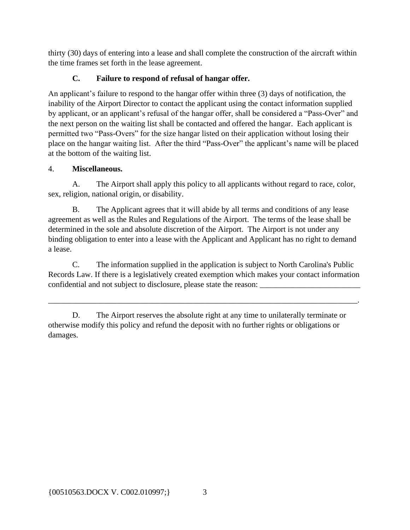thirty (30) days of entering into a lease and shall complete the construction of the aircraft within the time frames set forth in the lease agreement.

#### **C. Failure to respond of refusal of hangar offer.**

An applicant's failure to respond to the hangar offer within three (3) days of notification, the inability of the Airport Director to contact the applicant using the contact information supplied by applicant, or an applicant's refusal of the hangar offer, shall be considered a "Pass-Over" and the next person on the waiting list shall be contacted and offered the hangar. Each applicant is permitted two "Pass-Overs" for the size hangar listed on their application without losing their place on the hangar waiting list. After the third "Pass-Over" the applicant's name will be placed at the bottom of the waiting list.

#### 4. **Miscellaneous.**

A. The Airport shall apply this policy to all applicants without regard to race, color, sex, religion, national origin, or disability.

B. The Applicant agrees that it will abide by all terms and conditions of any lease agreement as well as the Rules and Regulations of the Airport. The terms of the lease shall be determined in the sole and absolute discretion of the Airport. The Airport is not under any binding obligation to enter into a lease with the Applicant and Applicant has no right to demand a lease.

C. The information supplied in the application is subject to North Carolina's Public Records Law. If there is a legislatively created exemption which makes your contact information confidential and not subject to disclosure, please state the reason:

\_\_\_\_\_\_\_\_\_\_\_\_\_\_\_\_\_\_\_\_\_\_\_\_\_\_\_\_\_\_\_\_\_\_\_\_\_\_\_\_\_\_\_\_\_\_\_\_\_\_\_\_\_\_\_\_\_\_\_\_\_\_\_\_\_\_\_\_\_\_\_\_\_\_\_\_\_.

D. The Airport reserves the absolute right at any time to unilaterally terminate or otherwise modify this policy and refund the deposit with no further rights or obligations or damages.